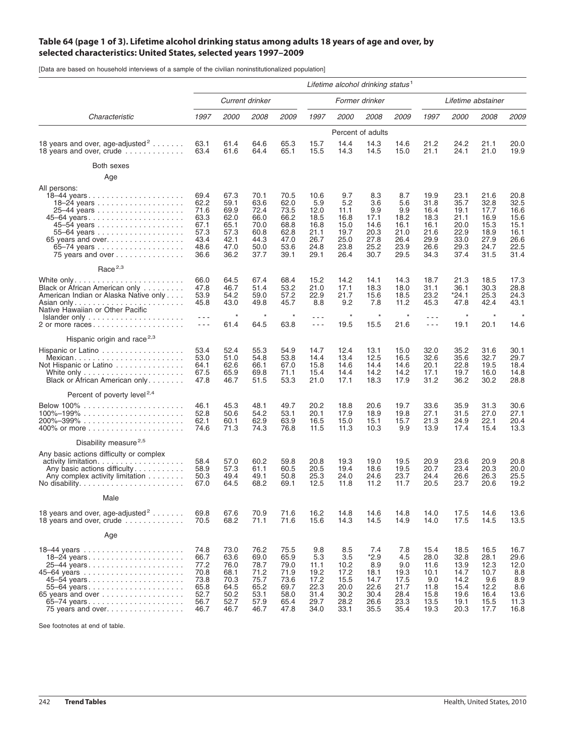## Table 64 (page 1 of 3). Lifetime alcohol drinking status among adults 18 years of age and over, by **selected characteristics: United States, selected years 1997–2009**

[Data are based on household interviews of a sample of the civilian noninstitutionalized population]

|                                                                                                                                                     | Lifetime alcohol drinking status <sup>1</sup>                        |                                                                      |                                                                      |                                                                      |                                                                     |                                                                    |                                                                      |                                                                   |                                                                      |                                                                      |                                                                      |                                                                      |
|-----------------------------------------------------------------------------------------------------------------------------------------------------|----------------------------------------------------------------------|----------------------------------------------------------------------|----------------------------------------------------------------------|----------------------------------------------------------------------|---------------------------------------------------------------------|--------------------------------------------------------------------|----------------------------------------------------------------------|-------------------------------------------------------------------|----------------------------------------------------------------------|----------------------------------------------------------------------|----------------------------------------------------------------------|----------------------------------------------------------------------|
| Characteristic                                                                                                                                      | Current drinker                                                      |                                                                      |                                                                      |                                                                      | Former drinker                                                      |                                                                    |                                                                      |                                                                   | Lifetime abstainer                                                   |                                                                      |                                                                      |                                                                      |
|                                                                                                                                                     | 1997                                                                 | 2000                                                                 | <i>2008</i>                                                          | 2009                                                                 | 1997                                                                | <i>2000</i>                                                        | <i>2008</i>                                                          | 2009                                                              | 1997                                                                 | 2000                                                                 | <i>2008</i>                                                          | 2009                                                                 |
|                                                                                                                                                     |                                                                      |                                                                      |                                                                      |                                                                      |                                                                     |                                                                    | Percent of adults                                                    |                                                                   |                                                                      |                                                                      |                                                                      |                                                                      |
| 18 years and over, age-adjusted <sup>2</sup><br>18 years and over, crude                                                                            | 63.1<br>63.4                                                         | 61.4<br>61.6                                                         | 64.6<br>64.4                                                         | 65.3<br>65.1                                                         | 15.7<br>15.5                                                        | 14.4<br>14.3                                                       | 14.3<br>14.5                                                         | 14.6<br>15.0                                                      | 21.2<br>21.1                                                         | 24.2<br>24.1                                                         | 21.1<br>21.0                                                         | 20.0<br>19.9                                                         |
| Both sexes                                                                                                                                          |                                                                      |                                                                      |                                                                      |                                                                      |                                                                     |                                                                    |                                                                      |                                                                   |                                                                      |                                                                      |                                                                      |                                                                      |
| Age                                                                                                                                                 |                                                                      |                                                                      |                                                                      |                                                                      |                                                                     |                                                                    |                                                                      |                                                                   |                                                                      |                                                                      |                                                                      |                                                                      |
| All persons:<br>18-44 years<br>55-64 years<br>75 years and over                                                                                     | 69.4<br>62.2<br>71.6<br>63.3<br>67.1<br>57.3<br>43.4<br>48.6<br>36.6 | 67.3<br>59.1<br>69.9<br>62.0<br>65.1<br>57.3<br>42.1<br>47.0<br>36.2 | 70.1<br>63.6<br>72.4<br>66.0<br>70.0<br>60.8<br>44.3<br>50.0<br>37.7 | 70.5<br>62.0<br>73.5<br>66.2<br>68.8<br>62.8<br>47.0<br>53.6<br>39.1 | 10.6<br>5.9<br>12.0<br>18.5<br>16.8<br>21.1<br>26.7<br>24.8<br>29.1 | 9.7<br>5.2<br>11.1<br>16.8<br>15.0<br>19.7<br>25.0<br>23.8<br>26.4 | 8.3<br>3.6<br>9.9<br>17.1<br>14.6<br>20.3<br>27.8<br>25.2<br>30.7    | 8.7<br>5.6<br>9.9<br>18.2<br>16.1<br>21.0<br>26.4<br>23.9<br>29.5 | 19.9<br>31.8<br>16.4<br>18.3<br>16.1<br>21.6<br>29.9<br>26.6<br>34.3 | 23.1<br>35.7<br>19.1<br>21.1<br>20.0<br>22.9<br>33.0<br>29.3<br>37.4 | 21.6<br>32.8<br>17.7<br>16.9<br>15.3<br>18.9<br>27.9<br>24.7<br>31.5 | 20.8<br>32.5<br>16.6<br>15.6<br>15.1<br>16.1<br>26.6<br>22.5<br>31.4 |
| Race $2,3$                                                                                                                                          |                                                                      |                                                                      |                                                                      |                                                                      |                                                                     |                                                                    |                                                                      |                                                                   |                                                                      |                                                                      |                                                                      |                                                                      |
| Black or African American only<br>American Indian or Alaska Native only<br>Native Hawaiian or Other Pacific<br>Islander only                        | 66.0<br>47.8<br>53.9<br>45.8<br>$  -$                                | 64.5<br>46.7<br>54.2<br>43.0<br>$\star$                              | 67.4<br>51.4<br>59.0<br>49.8<br>$\star$                              | 68.4<br>53.2<br>57.2<br>45.7<br>$\star$                              | 15.2<br>21.0<br>22.9<br>8.8<br>$- - -$                              | 14.2<br>17.1<br>21.7<br>9.2<br>$^\star$                            | 14.1<br>18.3<br>15.6<br>7.8<br>$\star$                               | 14.3<br>18.0<br>18.5<br>11.2<br>$^\star$                          | 18.7<br>31.1<br>23.2<br>45.3<br>$ -$                                 | 21.3<br>36.1<br>*24.1<br>47.8<br>$\star$                             | 18.5<br>30.3<br>25.3<br>42.4<br>$\star$                              | 17.3<br>28.8<br>24.3<br>43.1                                         |
| 2 or more races                                                                                                                                     | $- - -$                                                              | 61.4                                                                 | 64.5                                                                 | 63.8                                                                 | $- - -$                                                             | 19.5                                                               | 15.5                                                                 | 21.6                                                              | $\sim$ $\sim$ $\sim$                                                 | 19.1                                                                 | 20.1                                                                 | 14.6                                                                 |
| Hispanic origin and race <sup>2,3</sup>                                                                                                             |                                                                      |                                                                      |                                                                      |                                                                      |                                                                     |                                                                    |                                                                      |                                                                   |                                                                      |                                                                      |                                                                      |                                                                      |
| Hispanic or Latino<br>Mexican<br>Not Hispanic or Latino<br>White only $\ldots \ldots \ldots \ldots \ldots \ldots$<br>Black or African American only | 53.4<br>53.0<br>64.1<br>67.5<br>47.8                                 | 52.4<br>51.0<br>62.6<br>65.9<br>46.7                                 | 55.3<br>54.8<br>66.1<br>69.8<br>51.5                                 | 54.9<br>53.8<br>67.0<br>71.1<br>53.3                                 | 14.7<br>14.4<br>15.8<br>15.4<br>21.0                                | 12.4<br>13.4<br>14.6<br>14.4<br>17.1                               | 13.1<br>12.5<br>14.4<br>14.2<br>18.3                                 | 15.0<br>16.5<br>14.6<br>14.2<br>17.9                              | 32.0<br>32.6<br>20.1<br>17.1<br>31.2                                 | 35.2<br>35.6<br>22.8<br>19.7<br>36.2                                 | 31.6<br>32.7<br>19.5<br>16.0<br>30.2                                 | 30.1<br>29.7<br>18.4<br>14.8<br>28.8                                 |
| Percent of poverty level <sup>2,4</sup>                                                                                                             |                                                                      |                                                                      |                                                                      |                                                                      |                                                                     |                                                                    |                                                                      |                                                                   |                                                                      |                                                                      |                                                                      |                                                                      |
| $100\% - 199\%$                                                                                                                                     | 46.1<br>52.8<br>62.1<br>74.6                                         | 45.3<br>50.6<br>60.1<br>71.3                                         | 48.1<br>54.2<br>62.9<br>74.3                                         | 49.7<br>53.1<br>63.9<br>76.8                                         | 20.2<br>20.1<br>16.5<br>11.5                                        | 18.8<br>17.9<br>15.0<br>11.3                                       | 20.6<br>18.9<br>15.1<br>10.3                                         | 19.7<br>19.8<br>15.7<br>9.9                                       | 33.6<br>27.1<br>21.3<br>13.9                                         | 35.9<br>31.5<br>24.9<br>17.4                                         | 31.3<br>27.0<br>22.1<br>15.4                                         | 30.6<br>27.1<br>20.4<br>13.3                                         |
| Disability measure <sup>2,5</sup>                                                                                                                   |                                                                      |                                                                      |                                                                      |                                                                      |                                                                     |                                                                    |                                                                      |                                                                   |                                                                      |                                                                      |                                                                      |                                                                      |
| Any basic actions difficulty or complex<br>activity limitation.<br>Any basic actions difficulty<br>Any complex activity limitation $\dots \dots$    | 58.4<br>58.9<br>50.3<br>67.0                                         | 57.0<br>57.3<br>49.4<br>64.5                                         | 60.2<br>61.1<br>49.1<br>68.2                                         | 59.8<br>60.5<br>50.8<br>69.1                                         | 20.8<br>20.5<br>25.3<br>12.5                                        | 19.3<br>19.4<br>24.0<br>11.8                                       | 19.0<br>18.6<br>24.6<br>11.2                                         | 19.5<br>19.5<br>23.7<br>11.7                                      | 20.9<br>20.7<br>24.4<br>20.5                                         | 23.6<br>23.4<br>26.6<br>23.7                                         | 20.9<br>20.3<br>26.3<br>20.6                                         | 20.8<br>20.0<br>25.5<br>19.2                                         |
| Male                                                                                                                                                |                                                                      |                                                                      |                                                                      |                                                                      |                                                                     |                                                                    |                                                                      |                                                                   |                                                                      |                                                                      |                                                                      |                                                                      |
| 18 years and over, age-adjusted <sup>2</sup><br>18 years and over, crude $\ldots \ldots \ldots$                                                     | 69.8<br>70.5                                                         | 67.6<br>68.2                                                         | 70.9<br>71.1                                                         | 71.6<br>71.6                                                         | 16.2<br>15.6                                                        | 14.8<br>14.3                                                       | 14.6<br>14.5                                                         | 14.8<br>14.9                                                      | 14.0<br>14.0                                                         | 17.5<br>17.5                                                         | 14.6<br>14.5                                                         | 13.6<br>13.5                                                         |
| Age                                                                                                                                                 |                                                                      |                                                                      |                                                                      |                                                                      |                                                                     |                                                                    |                                                                      |                                                                   |                                                                      |                                                                      |                                                                      |                                                                      |
| 18-24 years<br>45–54 years<br>55–64 years<br>65 years and over $\ldots \ldots \ldots \ldots \ldots$<br>65–74 years<br>75 years and over             | 74.8<br>66.7<br>77.2<br>70.8<br>73.8<br>65.8<br>52.7<br>56.7<br>46.7 | 73.0<br>63.6<br>76.0<br>68.1<br>70.3<br>64.5<br>50.2<br>52.7<br>46.7 | 76.2<br>69.0<br>78.7<br>71.2<br>75.7<br>65.2<br>53.1<br>57.9<br>46.7 | 75.5<br>65.9<br>79.0<br>71.9<br>73.6<br>69.7<br>58.0<br>65.4<br>47.8 | 9.8<br>5.3<br>11.1<br>19.2<br>17.2<br>22.3<br>31.4<br>29.7<br>34.0  | 8.5<br>3.5<br>10.2<br>17.2<br>15.5<br>20.0<br>30.2<br>28.2<br>33.1 | 7.4<br>$*2.9$<br>8.9<br>18.1<br>14.7<br>22.6<br>30.4<br>26.6<br>35.5 | 7.8<br>4.5<br>9.0<br>19.3<br>17.5<br>21.7<br>28.4<br>23.3<br>35.4 | 15.4<br>28.0<br>11.6<br>10.1<br>9.0<br>11.8<br>15.8<br>13.5<br>19.3  | 18.5<br>32.8<br>13.9<br>14.7<br>14.2<br>15.4<br>19.6<br>19.1<br>20.3 | 16.5<br>28.1<br>12.3<br>10.7<br>9.6<br>12.2<br>16.4<br>15.5<br>17.7  | 16.7<br>29.6<br>12.0<br>8.8<br>8.9<br>8.6<br>13.6<br>11.3<br>16.8    |

See footnotes at end of table.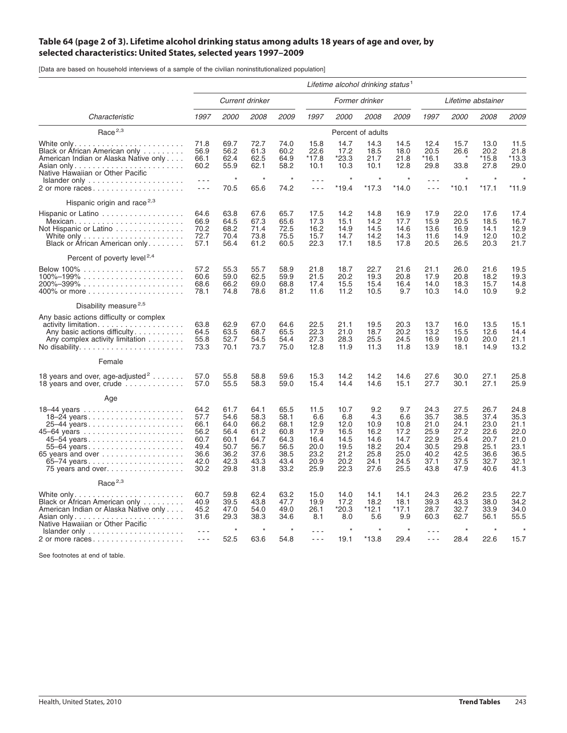## Table 64 (page 2 of 3). Lifetime alcohol drinking status among adults 18 years of age and over, by **selected characteristics: United States, selected years 1997–2009**

[Data are based on household interviews of a sample of the civilian noninstitutionalized population]

|                                                                                                                                                                                                         | Lifetime alcohol drinking status <sup>1</sup>                        |                                                                      |                                                                      |                                                                      |                                                                     |                                                                     |                                                                    |                                                                    |                                                                      |                                                                      |                                                                      |                                                                      |
|---------------------------------------------------------------------------------------------------------------------------------------------------------------------------------------------------------|----------------------------------------------------------------------|----------------------------------------------------------------------|----------------------------------------------------------------------|----------------------------------------------------------------------|---------------------------------------------------------------------|---------------------------------------------------------------------|--------------------------------------------------------------------|--------------------------------------------------------------------|----------------------------------------------------------------------|----------------------------------------------------------------------|----------------------------------------------------------------------|----------------------------------------------------------------------|
|                                                                                                                                                                                                         | Current drinker                                                      |                                                                      |                                                                      | Former drinker                                                       |                                                                     |                                                                     |                                                                    | Lifetime abstainer                                                 |                                                                      |                                                                      |                                                                      |                                                                      |
| Characteristic                                                                                                                                                                                          | 1997                                                                 | <i>2000</i>                                                          | 2008                                                                 | 2009                                                                 | 1997                                                                | <i>2000</i>                                                         | 2008                                                               | 2009                                                               | 1997                                                                 | 2000                                                                 | <i>2008</i>                                                          | 2009                                                                 |
| Race $2,3$                                                                                                                                                                                              |                                                                      |                                                                      |                                                                      |                                                                      |                                                                     |                                                                     | Percent of adults                                                  |                                                                    |                                                                      |                                                                      |                                                                      |                                                                      |
| Black or African American only<br>American Indian or Alaska Native only<br>Asian only<br>Native Hawaiian or Other Pacific                                                                               | 71.8<br>56.9<br>66.1<br>60.2                                         | 69.7<br>56.2<br>62.4<br>55.9                                         | 72.7<br>61.3<br>62.5<br>62.1                                         | 74.0<br>60.2<br>64.9<br>58.2                                         | 15.8<br>22.6<br>*17.8<br>10.1                                       | 14.7<br>17.2<br>*23.3<br>10.3                                       | 14.3<br>18.5<br>21.7<br>10.1                                       | 14.5<br>18.0<br>21.8<br>12.8                                       | 12.4<br>20.5<br>*16.1<br>29.8                                        | 15.7<br>26.6<br>33.8<br>$\star$                                      | 13.0<br>20.2<br>*15.8<br>27.8                                        | 11.5<br>21.8<br>*13.3<br>29.0                                        |
| $Islander only \ldots \ldots \ldots \ldots \ldots$<br>2 or more races                                                                                                                                   | $- - -$<br>- - -                                                     | $\star$<br>70.5                                                      | $\star$<br>65.6                                                      | 74.2                                                                 | $  -$<br>$\sim$ $\sim$ $\sim$                                       | $*19.4$                                                             | $\star$<br>$*17.3$                                                 | $*14.0$                                                            | - - -<br>$\sim$ $\sim$ $\sim$                                        | $*10.1$                                                              | $*17.1$                                                              | *11.9                                                                |
| Hispanic origin and race <sup>2,3</sup>                                                                                                                                                                 |                                                                      |                                                                      |                                                                      |                                                                      |                                                                     |                                                                     |                                                                    |                                                                    |                                                                      |                                                                      |                                                                      |                                                                      |
| Hispanic or Latino<br>Mexican<br>Not Hispanic or Latino<br>White only $\ldots \ldots \ldots \ldots \ldots \ldots$<br>Black or African American only                                                     | 64.6<br>66.9<br>70.2<br>72.7<br>57.1                                 | 63.8<br>64.5<br>68.2<br>70.4<br>56.4                                 | 67.6<br>67.3<br>71.4<br>73.8<br>61.2                                 | 65.7<br>65.6<br>72.5<br>75.5<br>60.5                                 | 17.5<br>17.3<br>16.2<br>15.7<br>22.3                                | 14.2<br>15.1<br>14.9<br>14.7<br>17.1                                | 14.8<br>14.2<br>14.5<br>14.2<br>18.5                               | 16.9<br>17.7<br>14.6<br>14.3<br>17.8                               | 17.9<br>15.9<br>13.6<br>11.6<br>20.5                                 | 22.0<br>20.5<br>16.9<br>14.9<br>26.5                                 | 17.6<br>18.5<br>14.1<br>12.0<br>20.3                                 | 17.4<br>16.7<br>12.9<br>10.2<br>21.7                                 |
| Percent of poverty level <sup>2,4</sup>                                                                                                                                                                 |                                                                      |                                                                      |                                                                      |                                                                      |                                                                     |                                                                     |                                                                    |                                                                    |                                                                      |                                                                      |                                                                      |                                                                      |
| $100\% - 199\%$                                                                                                                                                                                         | 57.2<br>60.6<br>68.6<br>78.1                                         | 55.3<br>59.0<br>66.2<br>74.8                                         | 55.7<br>62.5<br>69.0<br>78.6                                         | 58.9<br>59.9<br>68.8<br>81.2                                         | 21.8<br>21.5<br>17.4<br>11.6                                        | 18.7<br>20.2<br>15.5<br>11.2                                        | 22.7<br>19.3<br>15.4<br>10.5                                       | 21.6<br>20.8<br>16.4<br>9.7                                        | 21.1<br>17.9<br>14.0<br>10.3                                         | 26.0<br>20.8<br>18.3<br>14.0                                         | 21.6<br>18.2<br>15.7<br>10.9                                         | 19.5<br>19.3<br>14.8<br>9.2                                          |
| Disability measure <sup>2,5</sup>                                                                                                                                                                       |                                                                      |                                                                      |                                                                      |                                                                      |                                                                     |                                                                     |                                                                    |                                                                    |                                                                      |                                                                      |                                                                      |                                                                      |
| Any basic actions difficulty or complex<br>activity limitation.<br>Any basic actions difficulty<br>Any complex activity limitation<br>No disability. $\ldots \ldots \ldots \ldots \ldots \ldots \ldots$ | 63.8<br>64.5<br>55.8<br>73.3                                         | 62.9<br>63.5<br>52.7<br>70.1                                         | 67.0<br>68.7<br>54.5<br>73.7                                         | 64.6<br>65.5<br>54.4<br>75.0                                         | 22.5<br>22.3<br>27.3<br>12.8                                        | 21.1<br>21.0<br>28.3<br>11.9                                        | 19.5<br>18.7<br>25.5<br>11.3                                       | 20.3<br>20.2<br>24.5<br>11.8                                       | 13.7<br>13.2<br>16.9<br>13.9                                         | 16.0<br>15.5<br>19.0<br>18.1                                         | 13.5<br>12.6<br>20.0<br>14.9                                         | 15.1<br>14.4<br>21.1<br>13.2                                         |
| Female                                                                                                                                                                                                  |                                                                      |                                                                      |                                                                      |                                                                      |                                                                     |                                                                     |                                                                    |                                                                    |                                                                      |                                                                      |                                                                      |                                                                      |
| 18 years and over, age-adjusted <sup>2</sup><br>18 years and over, crude                                                                                                                                | 57.0<br>57.0                                                         | 55.8<br>55.5                                                         | 58.8<br>58.3                                                         | 59.6<br>59.0                                                         | 15.3<br>15.4                                                        | 14.2<br>14.4                                                        | 14.2<br>14.6                                                       | 14.6<br>15.1                                                       | 27.6<br>27.7                                                         | 30.0<br>30.1                                                         | 27.1<br>27.1                                                         | 25.8<br>25.9                                                         |
| Age                                                                                                                                                                                                     |                                                                      |                                                                      |                                                                      |                                                                      |                                                                     |                                                                     |                                                                    |                                                                    |                                                                      |                                                                      |                                                                      |                                                                      |
| 18-24 years<br>25–44 years<br>45-54 years<br>55–64 years<br>65 years and over $\ldots \ldots \ldots \ldots \ldots$<br>65–74 years<br>75 years and over                                                  | 64.2<br>57.7<br>66.1<br>56.2<br>60.7<br>49.4<br>36.6<br>42.0<br>30.2 | 61.7<br>54.6<br>64.0<br>56.4<br>60.1<br>50.7<br>36.2<br>42.3<br>29.8 | 64.1<br>58.3<br>66.2<br>61.2<br>64.7<br>56.7<br>37.6<br>43.3<br>31.8 | 65.5<br>58.1<br>68.1<br>60.8<br>64.3<br>56.5<br>38.5<br>43.4<br>33.2 | 11.5<br>6.6<br>12.9<br>17.9<br>16.4<br>20.0<br>23.2<br>20.9<br>25.9 | 10.7<br>6.8<br>12.0<br>16.5<br>14.5<br>19.5<br>21.2<br>20.2<br>22.3 | 9.2<br>4.3<br>10.9<br>16.2<br>14.6<br>18.2<br>25.8<br>24.1<br>27.6 | 9.7<br>6.6<br>10.8<br>17.2<br>14.7<br>20.4<br>25.0<br>24.5<br>25.5 | 24.3<br>35.7<br>21.0<br>25.9<br>22.9<br>30.5<br>40.2<br>37.1<br>43.8 | 27.5<br>38.5<br>24.1<br>27.2<br>25.4<br>29.8<br>42.5<br>37.5<br>47.9 | 26.7<br>37.4<br>23.0<br>22.6<br>20.7<br>25.1<br>36.6<br>32.7<br>40.6 | 24.8<br>35.3<br>21.1<br>22.0<br>21.0<br>23.1<br>36.5<br>32.1<br>41.3 |
| Race $2,3$                                                                                                                                                                                              |                                                                      |                                                                      |                                                                      |                                                                      |                                                                     |                                                                     |                                                                    |                                                                    |                                                                      |                                                                      |                                                                      |                                                                      |
| Black or African American only<br>American Indian or Alaska Native only<br>Native Hawaiian or Other Pacific                                                                                             | 60.7<br>40.9<br>45.2<br>31.6                                         | 59.8<br>39.5<br>47.0<br>29.3                                         | 62.4<br>43.8<br>54.0<br>38.3                                         | 63.2<br>47.7<br>49.0<br>34.6                                         | 15.0<br>19.9<br>26.1<br>8.1                                         | 14.0<br>17.2<br>*20.3<br>8.0                                        | 14.1<br>18.2<br>$*12.1$<br>5.6                                     | 14.1<br>18.1<br>*17.1<br>9.9                                       | 24.3<br>39.3<br>28.7<br>60.3                                         | 26.2<br>43.3<br>32.7<br>62.7                                         | 23.5<br>38.0<br>33.9<br>56.1                                         | 22.7<br>34.2<br>34.0<br>55.5                                         |
| $Islander only \ldots \ldots \ldots \ldots \ldots$<br>2 or more races                                                                                                                                   | - - -<br>- - -                                                       | 52.5                                                                 | 63.6                                                                 | 54.8                                                                 | $- - -$                                                             | 19.1                                                                | $*13.8$                                                            | 29.4                                                               | $ -$                                                                 | 28.4                                                                 | 22.6                                                                 | 15.7                                                                 |

See footnotes at end of table.